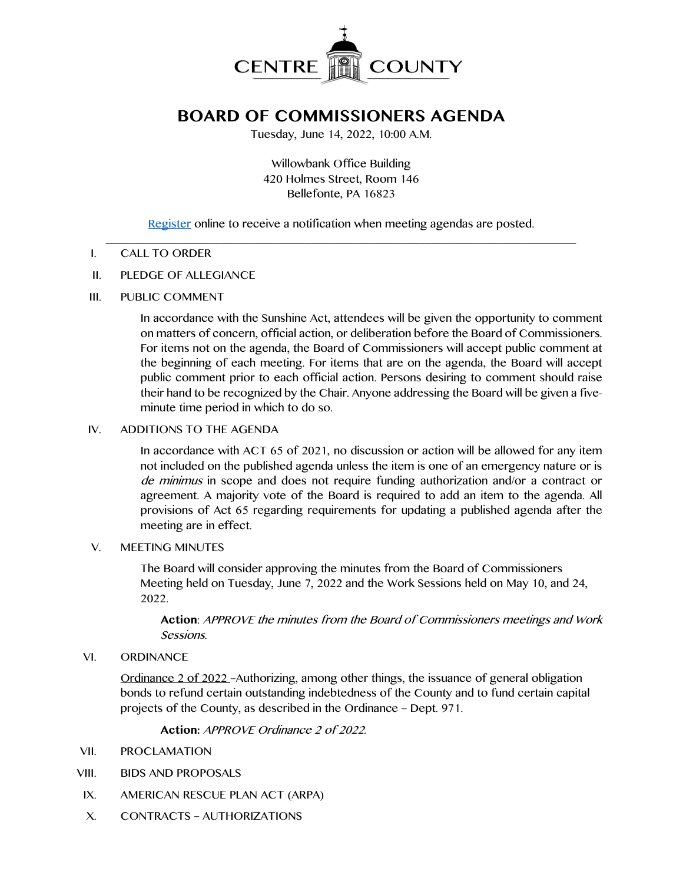

# **BOARD OF COMMISSIONERS AGENDA**

Tuesday, June 14, 2022, 10:00 A.M.

Willowbank Office Building 420 Holmes Street, Room 146 Bellefonte, PA 16823

[Register](http://www.centrecountypa.gov/AgendaCenter) online to receive a notification when meeting agendas are posted.

#### $\mathcal{L} = \{ \mathcal{L} = \{ \mathcal{L} \mid \mathcal{L} = \{ \mathcal{L} \mid \mathcal{L} = \{ \mathcal{L} \mid \mathcal{L} = \{ \mathcal{L} \mid \mathcal{L} = \{ \mathcal{L} \mid \mathcal{L} = \{ \mathcal{L} \mid \mathcal{L} = \{ \mathcal{L} \mid \mathcal{L} = \{ \mathcal{L} \mid \mathcal{L} = \{ \mathcal{L} \mid \mathcal{L} = \{ \mathcal{L} \mid \mathcal{L} = \{ \mathcal{L} \mid \mathcal{L} = \{ \mathcal{L} \mid \mathcal{L} =$ I. CALL TO ORDER

#### II. PLEDGE OF ALLEGIANCE

III. PUBLIC COMMENT

In accordance with the Sunshine Act, attendees will be given the opportunity to comment on matters of concern, official action, or deliberation before the Board of Commissioners. For items not on the agenda, the Board of Commissioners will accept public comment at the beginning of each meeting. For items that are on the agenda, the Board will accept public comment prior to each official action. Persons desiring to comment should raise their hand to be recognized by the Chair. Anyone addressing the Board will be given a fiveminute time period in which to do so.

## IV. ADDITIONS TO THE AGENDA

In accordance with ACT 65 of 2021, no discussion or action will be allowed for any item not included on the published agenda unless the item is one of an emergency nature or is de minimus in scope and does not require funding authorization and/or a contract or agreement. A majority vote of the Board is required to add an item to the agenda. All provisions of Act 65 regarding requirements for updating a published agenda after the meeting are in effect.

#### V. MEETING MINUTES

The Board will consider approving the minutes from the Board of Commissioners Meeting held on Tuesday, June 7, 2022 and the Work Sessions held on May 10, and 24, 2022.

**Action**: APPROVE the minutes from the Board of Commissioners meetings and Work Sessions.

VI. ORDINANCE

Ordinance 2 of 2022 –Authorizing, among other things, the issuance of general obligation bonds to refund certain outstanding indebtedness of the County and to fund certain capital projects of the County, as described in the Ordinance – Dept. 971.

**Action:** APPROVE Ordinance 2 of 2022.

- VII. PROCLAMATION
- VIII. BIDS AND PROPOSALS
- IX. AMERICAN RESCUE PLAN ACT (ARPA)
- X. CONTRACTS AUTHORIZATIONS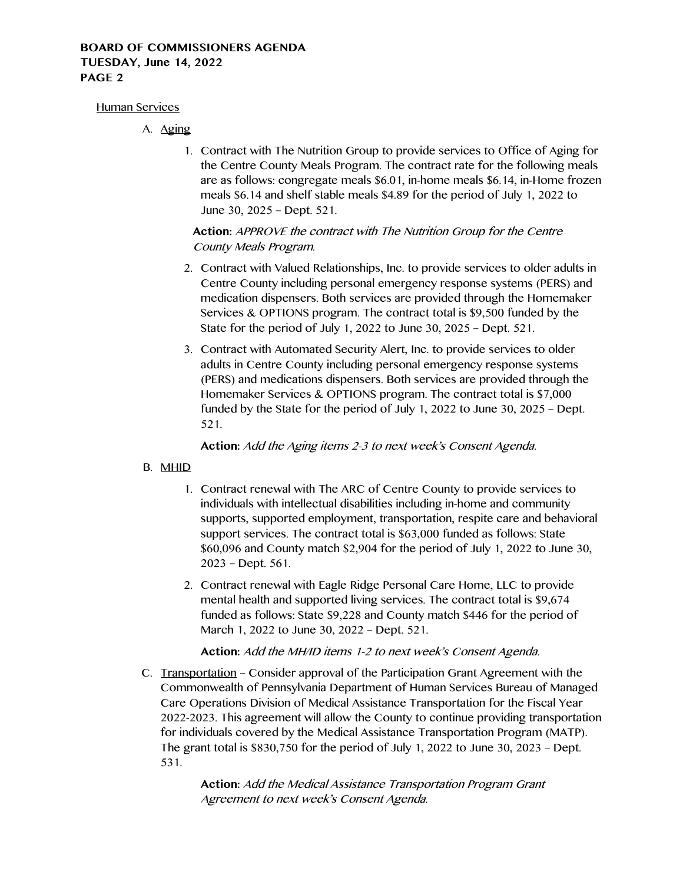## **BOARD OF COMMISSIONERS AGENDA TUESDAY, June 14, 2022 PAGE 2**

#### Human Services

- A. Aging
	- 1. Contract with The Nutrition Group to provide services to Office of Aging for the Centre County Meals Program. The contract rate for the following meals are as follows: congregate meals \$6.01, in-home meals \$6.14, in-Home frozen meals \$6.14 and shelf stable meals \$4.89 for the period of July 1, 2022 to June 30, 2025 – Dept. 521.

## **Action:** APPROVE the contract with The Nutrition Group for the Centre County Meals Program.

- 2. Contract with Valued Relationships, Inc. to provide services to older adults in Centre County including personal emergency response systems (PERS) and medication dispensers. Both services are provided through the Homemaker Services & OPTIONS program. The contract total is \$9,500 funded by the State for the period of July 1, 2022 to June 30, 2025 – Dept. 521.
- 3. Contract with Automated Security Alert, Inc. to provide services to older adults in Centre County including personal emergency response systems (PERS) and medications dispensers. Both services are provided through the Homemaker Services & OPTIONS program. The contract total is \$7,000 funded by the State for the period of July 1, 2022 to June 30, 2025 – Dept. 521.

**Action:** Add the Aging items 2-3 to next week's Consent Agenda.

## B. MHID

- 1. Contract renewal with The ARC of Centre County to provide services to individuals with intellectual disabilities including in-home and community supports, supported employment, transportation, respite care and behavioral support services. The contract total is \$63,000 funded as follows: State \$60,096 and County match \$2,904 for the period of July 1, 2022 to June 30, 2023 – Dept. 561.
- 2. Contract renewal with Eagle Ridge Personal Care Home, LLC to provide mental health and supported living services. The contract total is \$9,674 funded as follows: State \$9,228 and County match \$446 for the period of March 1, 2022 to June 30, 2022 – Dept. 521.

**Action:** Add the MH/ID items 1-2 to next week's Consent Agenda.

C. Transportation – Consider approval of the Participation Grant Agreement with the Commonwealth of Pennsylvania Department of Human Services Bureau of Managed Care Operations Division of Medical Assistance Transportation for the Fiscal Year 2022-2023. This agreement will allow the County to continue providing transportation for individuals covered by the Medical Assistance Transportation Program (MATP). The grant total is \$830,750 for the period of July 1, 2022 to June 30, 2023 – Dept. 531.

> **Action:** Add the Medical Assistance Transportation Program Grant Agreement to next week's Consent Agenda.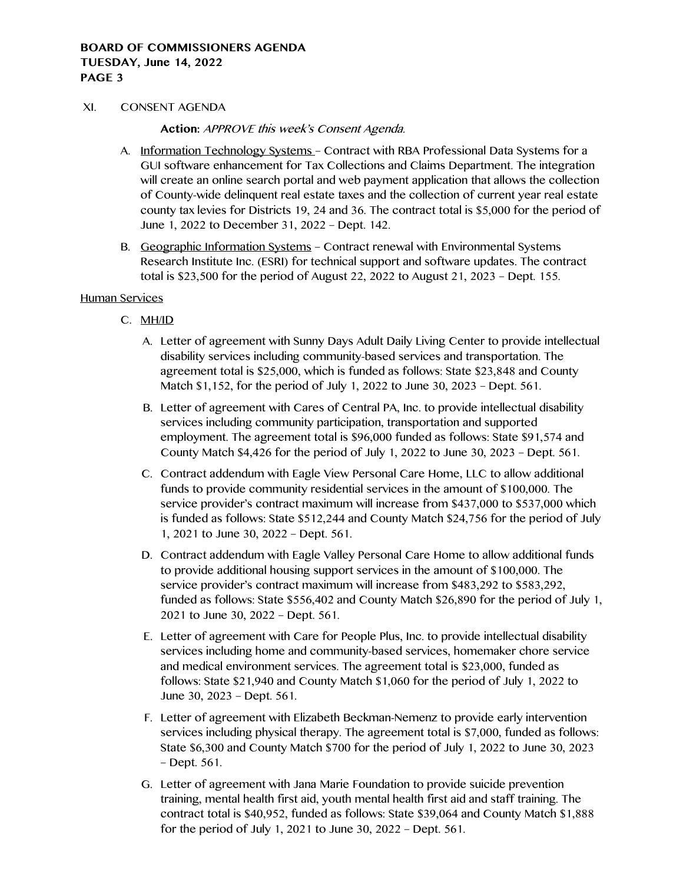#### **BOARD OF COMMISSIONERS AGENDA TUESDAY, June 14, 2022 PAGE 3**

#### XI. CONSENT AGENDA

**Action:** APPROVE this week's Consent Agenda.

- A. Information Technology Systems Contract with RBA Professional Data Systems for a GUI software enhancement for Tax Collections and Claims Department. The integration will create an online search portal and web payment application that allows the collection of County-wide delinquent real estate taxes and the collection of current year real estate county tax levies for Districts 19, 24 and 36. The contract total is \$5,000 for the period of June 1, 2022 to December 31, 2022 – Dept. 142.
- B. Geographic Information Systems Contract renewal with Environmental Systems Research Institute Inc. (ESRI) for technical support and software updates. The contract total is \$23,500 for the period of August 22, 2022 to August 21, 2023 – Dept. 155.

#### Human Services

- C. MH/ID
	- A. Letter of agreement with Sunny Days Adult Daily Living Center to provide intellectual disability services including community-based services and transportation. The agreement total is \$25,000, which is funded as follows: State \$23,848 and County Match \$1,152, for the period of July 1, 2022 to June 30, 2023 – Dept. 561.
	- B. Letter of agreement with Cares of Central PA, Inc. to provide intellectual disability services including community participation, transportation and supported employment. The agreement total is \$96,000 funded as follows: State \$91,574 and County Match  $$4,426$  for the period of July 1, 2022 to June 30, 2023 – Dept. 561.
	- C. Contract addendum with Eagle View Personal Care Home, LLC to allow additional funds to provide community residential services in the amount of \$100,000. The service provider's contract maximum will increase from \$437,000 to \$537,000 which is funded as follows: State \$512,244 and County Match \$24,756 for the period of July 1, 2021 to June 30, 2022 – Dept. 561.
	- D. Contract addendum with Eagle Valley Personal Care Home to allow additional funds to provide additional housing support services in the amount of \$100,000. The service provider's contract maximum will increase from \$483,292 to \$583,292, funded as follows: State \$556,402 and County Match \$26,890 for the period of July 1, 2021 to June 30, 2022 – Dept. 561.
	- E. Letter of agreement with Care for People Plus, Inc. to provide intellectual disability services including home and community-based services, homemaker chore service and medical environment services. The agreement total is \$23,000, funded as follows: State \$21,940 and County Match \$1,060 for the period of July 1, 2022 to June 30, 2023 – Dept. 561.
	- F. Letter of agreement with Elizabeth Beckman-Nemenz to provide early intervention services including physical therapy. The agreement total is \$7,000, funded as follows: State \$6,300 and County Match \$700 for the period of July 1, 2022 to June 30, 2023 – Dept. 561.
	- G. Letter of agreement with Jana Marie Foundation to provide suicide prevention training, mental health first aid, youth mental health first aid and staff training. The contract total is \$40,952, funded as follows: State \$39,064 and County Match \$1,888 for the period of July 1, 2021 to June 30, 2022 – Dept. 561.